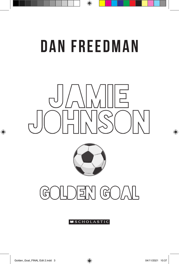## Dan Freedman

 $\bigoplus$ 





 $\Xi$   $N$  (GO/ IL تا

## **SCHOLASTIC**

⊕

 $\bigoplus$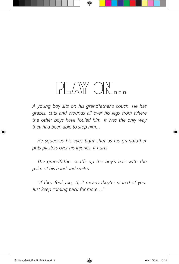## PLAY ON...

⊕

*A young boy sits on his grandfather's couch. He has grazes, cuts and wounds all over his legs from where the other boys have fouled him. It was the only way they had been able to stop him…*

*He squeezes his eyes tight shut as his grandfather puts plasters over his injuries. It hurts.*

*The grandfather scuffs up the boy's hair with the palm of his hand and smiles.*

*"If they foul you, JJ, it means they're scared of you. Just keep coming back for more…"*

◈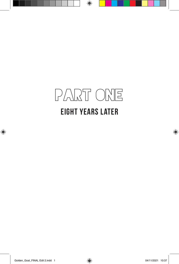

 $\bigoplus$ 

⊕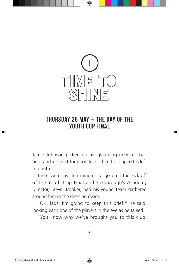

⊕

## Thursday 28 May – The day of the Youth Cup Final

Jamie Johnson picked up his gleaming new football boot and kissed it for good luck. Then he slipped his left foot into it.

There were just ten minutes to go until the kick-off of the Youth Cup Final and Foxborough's Academy Director, Steve Brooker, had his young team gathered around him in the dressing room.

"OK, lads, I'm going to keep this brief," he said, looking each one of the players in the eye as he talked.

"You know why we've brought you to this club.

⊕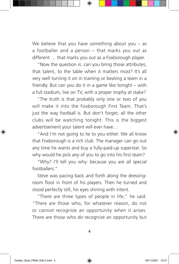We believe that you have something about you – as a footballer and a person – that marks you out as different … that marks you out as a Foxborough player.

"Now the question is: can you bring those attributes, that talent, to the table when it matters most? It's all very well turning it on in training or beating a team in a friendly. But can you do it in a game like tonight – with a full stadium, live on TV, with a proper trophy at stake?

"The truth is that probably only one or two of you will make it into the Foxborough First Team. That's just the way football is. But don't forget, all the other clubs will be watching tonight. This is the biggest advertisement your talent will ever have…

"And I'm not going to lie to you either. We all know that Foxborough is a rich club. The manager can go out any time he wants and buy a fully-paid-up superstar. So why would he pick *any* of you to go into his first team?

"Why? I'll tell you why: because you are all special footballers."

Steve was pacing back and forth along the dressingroom floor in front of his players. Then he turned and stood perfectly still, his eyes shining with intent.

"There are three types of people in life," he said. "There are those who, for whatever reason, do not or cannot recognize an opportunity when it arises. There are those who *do* recognize an opportunity but

4

◈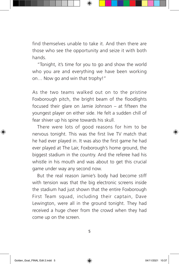find themselves unable to take it. And then there are those who see the opportunity and seize it with both hands.

"Tonight, it's time for you to go and show the world who you are and everything we have been working on… Now go and win that trophy!"

As the two teams walked out on to the pristine Foxborough pitch, the bright beam of the floodlights focused their glare on Jamie Johnson – at fifteen the youngest player on either side. He felt a sudden chill of fear shiver up his spine towards his skull.

There were lots of good reasons for him to be nervous tonight. This was the first live TV match that he had ever played in. It was also the first game he had ever played at The Lair, Foxborough's home ground, the biggest stadium in the country. And the referee had his whistle in his mouth and was about to get this crucial game under way any second now.

But the real reason Jamie's body had become stiff with tension was that the big electronic screens inside the stadium had just shown that the entire Foxborough First Team squad, including their captain, Dave Lewington, were all in the ground tonight. They had received a huge cheer from the crowd when they had come up on the screen.

5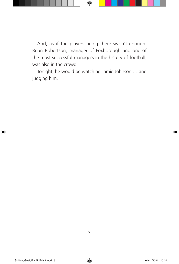And, as if the players being there wasn't enough, Brian Robertson, manager of Foxborough and one of the most successful managers in the history of football, was also in the crowd.

⊕

Tonight, he would be watching Jamie Johnson … and judging him.

◈

◈

6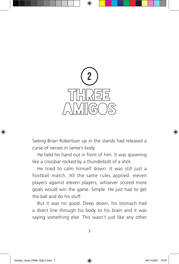

Seeing Brian Robertson up in the stands had released a curse of nerves in Jamie's body.

He held his hand out in front of him. It was quivering like a crossbar rocked by a thunderbolt of a shot.

He tried to calm himself down. It was still just a football match. All the same rules applied: eleven players against eleven players; whoever scored more goals would win the game. Simple. He just had to get the ball and do his stuff.

But it was no good. Deep down, his stomach had a direct line through his body to his brain and it was saying something else. This wasn't just like any other

⊕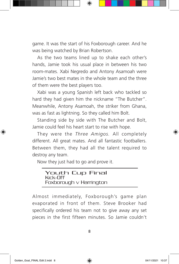game. It was the start of his Foxborough career. And he was being watched by Brian Robertson.

As the two teams lined up to shake each other's hands, Jamie took his usual place in between his two room-mates. Xabi Negredo and Antony Asamoah were Jamie's two best mates in the whole team and the three of them were the best players too.

Xabi was a young Spanish left back who tackled so hard they had given him the nickname "The Butcher". Meanwhile, Antony Asamoah, the striker from Ghana, was as fast as lightning. So they called him Bolt.

Standing side by side with The Butcher and Bolt, Jamie could feel his heart start to rise with hope.

They were the *Three Amigos.* All completely different. All great mates. And all fantastic footballers. Between them, they had all the talent required to destroy any team.

Now they just had to go and prove it.

| <b>Youth Cup Final</b><br>Kick-Off |  |
|------------------------------------|--|
| Foxborough $\vee$ Harrington       |  |

Almost immediately, Foxborough's game plan evaporated in front of them. Steve Brooker had specifically ordered his team not to give away any set pieces in the first fifteen minutes. So Jamie couldn't

8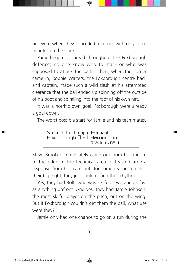believe it when they conceded a corner with only three minutes on the clock.

Panic began to spread throughout the Foxborough defence; no one knew who to mark or who was supposed to attack the ball… Then, when the corner came in, Robbie Walters, the Foxborough centre back and captain, made such a wild slash at his attempted clearance that the ball ended up spinning off the outside of his boot and spiralling into the roof of his own net.

It was a horrific own goal. Foxborough were already a goal down.

The worst possible start for Jamie and his teammates.

Steve Brooker immediately came out from his dugout to the edge of the technical area to try and urge a response from his team but, for some reason, on this, their big night, they just couldn't find their rhythm.

Yes, they had Bolt, who was six foot two and as fast as anything upfront. And yes, they had Jamie Johnson, the most skilful player on the pitch, out on the wing. But if Foxborough couldn't get them the ball, what use were they?

Jamie only had one chance to go on a run during the

◈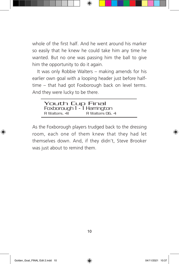whole of the first half. And he went around his marker so easily that he knew he could take him any time he wanted. But no one was passing him the ball to give him the opportunity to do it again.

⊕

It was only Robbie Walters – making amends for his earlier own goal with a looping header just before halftime – that had got Foxborough back on level terms. And they were lucky to be there.

| Youth Cup Final             |                |  |
|-----------------------------|----------------|--|
| Foxborough 1 - 1 Harrington |                |  |
| R Walters, 41               | R Walters 06.4 |  |

As the Foxborough players trudged back to the dressing room, each one of them knew that they had let themselves down. And, if they didn't, Steve Brooker was just about to remind them.

◈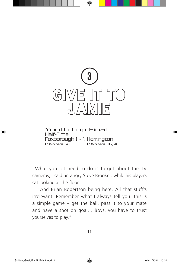

⊕

Youth Cup Final Half-Time Foxborough 1 - 1 Harrington R Walters, 41 R Walters 06, 4

"What you lot need to do is forget about the TV cameras," said an angry Steve Brooker, while his players sat looking at the floor.

"And Brian Robertson being here. All that stuff's irrelevant. Remember what I always tell you: this is a simple game – get the ball, pass it to your mate and have a shot on goal… Boys, you have to trust yourselves to play."

11

◈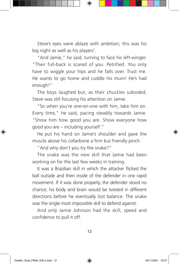Steve's eyes were ablaze with ambition; this was *his* big night as well as his players'.

"And Jamie," he said, turning to face his left-winger. "Their full-back is scared of you. Petrified. You only have to wiggle your hips and he falls over. Trust me. He wants to go home and cuddle his mum! He's had enough!"

The boys laughed but, as their chuckles subsided, Steve was still focusing his attention on Jamie.

"So when you're one-on-one with him, take him on. Every time," he said, pacing steadily towards Jamie. "Show him how good you are. Show everyone how good you are – including yourself."

He put his hand on Jamie's shoulder and gave the muscle above his collarbone a firm but friendly pinch.

"And why don't you try the snake?"

The snake was the new skill that Jamie had been working on for the last few weeks in training.

It was a Brazilian skill in which the attacker flicked the ball outside and then inside of the defender in one rapid movement. If it was done properly, the defender stood no chance; his body and brain would be twisted in different directions before he eventually lost balance. The snake was the single most impossible skill to defend against.

And only Jamie Johnson had the skill, speed and confidence to pull it off.

◈